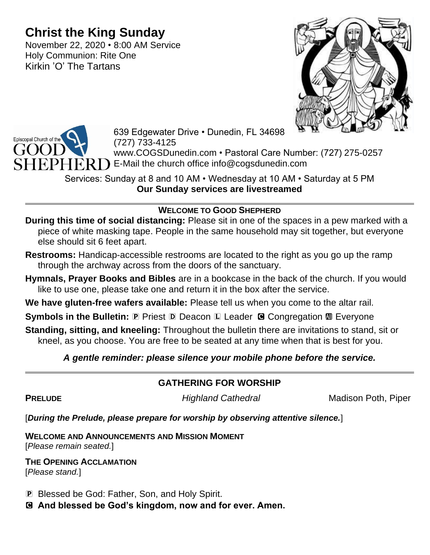# **Christ the King Sunday**

November 22, 2020 • 8:00 AM Service Holy Communion: Rite One Kirkin 'O' The Tartans





639 Edgewater Drive • Dunedin, FL 34698 (727) 733-4125 www.COGSDunedin.com • Pastoral Care Number: (727) 275-0257

 $\{|\}$   $\}$  E-Mail the church office info@cogsdunedin.com

Services: Sunday at 8 and 10 AM • Wednesday at 10 AM • Saturday at 5 PM **Our Sunday services are livestreamed**

# **WELCOME TO GOOD SHEPHERD**

**During this time of social distancing:** Please sit in one of the spaces in a pew marked with a piece of white masking tape. People in the same household may sit together, but everyone else should sit 6 feet apart.

- **Restrooms:** Handicap-accessible restrooms are located to the right as you go up the ramp through the archway across from the doors of the sanctuary.
- **Hymnals, Prayer Books and Bibles** are in a bookcase in the back of the church. If you would like to use one, please take one and return it in the box after the service.
- **We have gluten-free wafers available:** Please tell us when you come to the altar rail.

**Symbols in the Bulletin: P** Priest **D** Deacon **L** Leader **G** Congregation **M** Everyone

**Standing, sitting, and kneeling:** Throughout the bulletin there are invitations to stand, sit or kneel, as you choose. You are free to be seated at any time when that is best for you.

# *A gentle reminder: please silence your mobile phone before the service.*

# **GATHERING FOR WORSHIP**

**PRELUDE** *Highland Cathedral* **Madison Poth, Piper** 

[*During the Prelude, please prepare for worship by observing attentive silence.*]

**WELCOME AND ANNOUNCEMENTS AND MISSION MOMENT** [*Please remain seated.*]

**THE OPENING ACCLAMATION** [*Please stand.*]

P Blessed be God: Father, Son, and Holy Spirit.

C **And blessed be God's kingdom, now and for ever. Amen.**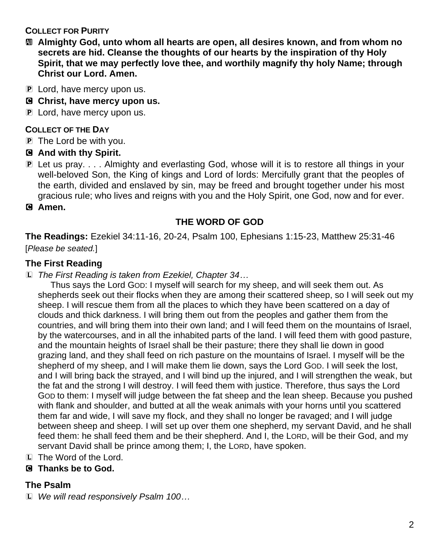#### **COLLECT FOR PURITY**

- a **Almighty God, unto whom all hearts are open, all desires known, and from whom no secrets are hid. Cleanse the thoughts of our hearts by the inspiration of thy Holy Spirit, that we may perfectly love thee, and worthily magnify thy holy Name; through Christ our Lord. Amen.**
- **P** Lord, have mercy upon us.
- C **Christ, have mercy upon us.**
- P Lord, have mercy upon us.

#### **COLLECT OF THE DAY**

- P The Lord be with you.
- C **And with thy Spirit.**
- P Let us pray. . . . Almighty and everlasting God, whose will it is to restore all things in your well-beloved Son, the King of kings and Lord of lords: Mercifully grant that the peoples of the earth, divided and enslaved by sin, may be freed and brought together under his most gracious rule; who lives and reigns with you and the Holy Spirit, one God, now and for ever.

#### C **Amen.**

### **THE WORD OF GOD**

**The Readings:** Ezekiel 34:11-16, 20-24, Psalm 100, Ephesians 1:15-23, Matthew 25:31-46 [*Please be seated.*]

### **The First Reading**

L *The First Reading is taken from Ezekiel, Chapter 34…*

Thus says the Lord GOD: I myself will search for my sheep, and will seek them out. As shepherds seek out their flocks when they are among their scattered sheep, so I will seek out my sheep. I will rescue them from all the places to which they have been scattered on a day of clouds and thick darkness. I will bring them out from the peoples and gather them from the countries, and will bring them into their own land; and I will feed them on the mountains of Israel, by the watercourses, and in all the inhabited parts of the land. I will feed them with good pasture, and the mountain heights of Israel shall be their pasture; there they shall lie down in good grazing land, and they shall feed on rich pasture on the mountains of Israel. I myself will be the shepherd of my sheep, and I will make them lie down, says the Lord GOD. I will seek the lost, and I will bring back the strayed, and I will bind up the injured, and I will strengthen the weak, but the fat and the strong I will destroy. I will feed them with justice. Therefore, thus says the Lord GOD to them: I myself will judge between the fat sheep and the lean sheep. Because you pushed with flank and shoulder, and butted at all the weak animals with your horns until you scattered them far and wide, I will save my flock, and they shall no longer be ravaged; and I will judge between sheep and sheep. I will set up over them one shepherd, my servant David, and he shall feed them: he shall feed them and be their shepherd. And I, the LORD, will be their God, and my servant David shall be prince among them; I, the LORD, have spoken.

L The Word of the Lord.

### C **Thanks be to God.**

### **The Psalm**

L *We will read responsively Psalm 100…*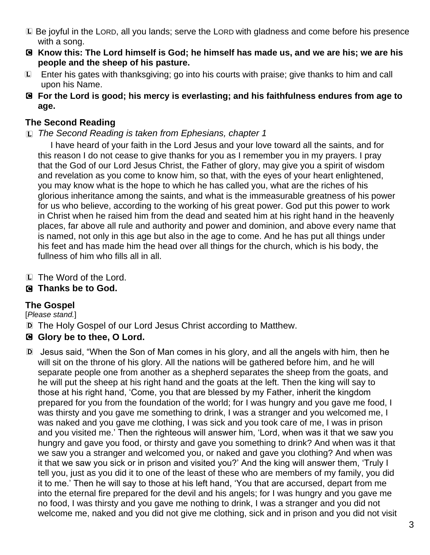- L Be joyful in the LORD, all you lands; serve the LORD with gladness and come before his presence with a song.
- C **Know this: The Lord himself is God; he himself has made us, and we are his; we are his people and the sheep of his pasture.**
- L Enter his gates with thanksgiving; go into his courts with praise; give thanks to him and call upon his Name.
- C **For the Lord is good; his mercy is everlasting; and his faithfulness endures from age to age.**

### **The Second Reading**

L *The Second Reading is taken from Ephesians, chapter 1*

I have heard of your faith in the Lord Jesus and your love toward all the saints, and for this reason I do not cease to give thanks for you as I remember you in my prayers. I pray that the God of our Lord Jesus Christ, the Father of glory, may give you a spirit of wisdom and revelation as you come to know him, so that, with the eyes of your heart enlightened, you may know what is the hope to which he has called you, what are the riches of his glorious inheritance among the saints, and what is the immeasurable greatness of his power for us who believe, according to the working of his great power. God put this power to work in Christ when he raised him from the dead and seated him at his right hand in the heavenly places, far above all rule and authority and power and dominion, and above every name that is named, not only in this age but also in the age to come. And he has put all things under his feet and has made him the head over all things for the church, which is his body, the fullness of him who fills all in all.

- L The Word of the Lord.
- C **Thanks be to God.**

# **The Gospel**

[*Please stand.*]

D The Holy Gospel of our Lord Jesus Christ according to Matthew.

# C **Glory be to thee, O Lord.**

D Jesus said, "When the Son of Man comes in his glory, and all the angels with him, then he will sit on the throne of his glory. All the nations will be gathered before him, and he will separate people one from another as a shepherd separates the sheep from the goats, and he will put the sheep at his right hand and the goats at the left. Then the king will say to those at his right hand, 'Come, you that are blessed by my Father, inherit the kingdom prepared for you from the foundation of the world; for I was hungry and you gave me food, I was thirsty and you gave me something to drink, I was a stranger and you welcomed me, I was naked and you gave me clothing, I was sick and you took care of me, I was in prison and you visited me.' Then the righteous will answer him, 'Lord, when was it that we saw you hungry and gave you food, or thirsty and gave you something to drink? And when was it that we saw you a stranger and welcomed you, or naked and gave you clothing? And when was it that we saw you sick or in prison and visited you?' And the king will answer them, 'Truly I tell you, just as you did it to one of the least of these who are members of my family, you did it to me.' Then he will say to those at his left hand, 'You that are accursed, depart from me into the eternal fire prepared for the devil and his angels; for I was hungry and you gave me no food, I was thirsty and you gave me nothing to drink, I was a stranger and you did not welcome me, naked and you did not give me clothing, sick and in prison and you did not visit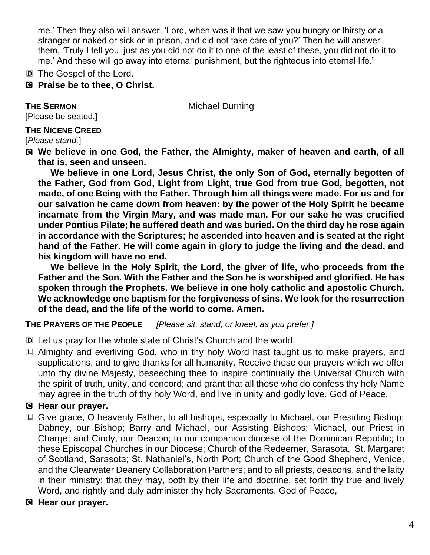me.' Then they also will answer, 'Lord, when was it that we saw you hungry or thirsty or a stranger or naked or sick or in prison, and did not take care of you?' Then he will answer them, 'Truly I tell you, just as you did not do it to one of the least of these, you did not do it to me.' And these will go away into eternal punishment, but the righteous into eternal life."

- D The Gospel of the Lord.
- C **Praise be to thee, O Christ.**

[Please be seated.]

**THE SERMON** Michael Durning

**THE NICENE CREED**  [*Please stand.*]

C **We believe in one God, the Father, the Almighty, maker of heaven and earth, of all that is, seen and unseen.** 

**We believe in one Lord, Jesus Christ, the only Son of God, eternally begotten of the Father, God from God, Light from Light, true God from true God, begotten, not made, of one Being with the Father. Through him all things were made. For us and for our salvation he came down from heaven: by the power of the Holy Spirit he became incarnate from the Virgin Mary, and was made man. For our sake he was crucified under Pontius Pilate; he suffered death and was buried. On the third day he rose again in accordance with the Scriptures; he ascended into heaven and is seated at the right hand of the Father. He will come again in glory to judge the living and the dead, and his kingdom will have no end.**

**We believe in the Holy Spirit, the Lord, the giver of life, who proceeds from the Father and the Son. With the Father and the Son he is worshiped and glorified. He has spoken through the Prophets. We believe in one holy catholic and apostolic Church. We acknowledge one baptism for the forgiveness of sins. We look for the resurrection of the dead, and the life of the world to come. Amen.**

#### **THE PRAYERS OF THE PEOPLE** *[Please sit, stand, or kneel, as you prefer.]*

D Let us pray for the whole state of Christ's Church and the world.

L Almighty and everliving God, who in thy holy Word hast taught us to make prayers, and supplications, and to give thanks for all humanity. Receive these our prayers which we offer unto thy divine Majesty, beseeching thee to inspire continually the Universal Church with the spirit of truth, unity, and concord; and grant that all those who do confess thy holy Name may agree in the truth of thy holy Word, and live in unity and godly love. God of Peace,

#### C **Hear our prayer.**

- L Give grace, O heavenly Father, to all bishops, especially to Michael, our Presiding Bishop; Dabney, our Bishop; Barry and Michael, our Assisting Bishops; Michael, our Priest in Charge; and Cindy, our Deacon; to our companion diocese of the Dominican Republic; to these Episcopal Churches in our Diocese; Church of the Redeemer, Sarasota, St. Margaret of Scotland, Sarasota; St. Nathaniel's, North Port; Church of the Good Shepherd, Venice, and the Clearwater Deanery Collaboration Partners; and to all priests, deacons, and the laity in their ministry; that they may, both by their life and doctrine, set forth thy true and lively Word, and rightly and duly administer thy holy Sacraments. God of Peace,
- C **Hear our prayer.**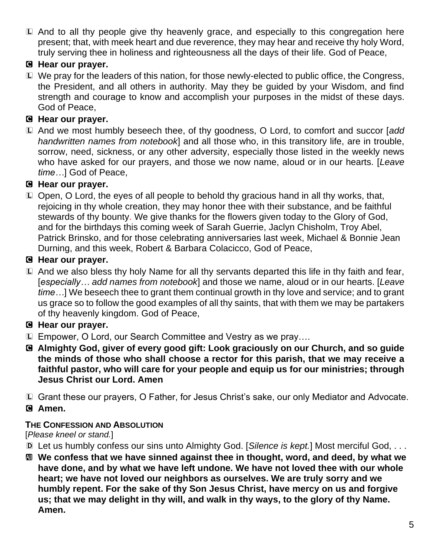L And to all thy people give thy heavenly grace, and especially to this congregation here present; that, with meek heart and due reverence, they may hear and receive thy holy Word, truly serving thee in holiness and righteousness all the days of their life. God of Peace,

# C **Hear our prayer.**

L We pray for the leaders of this nation, for those newly-elected to public office, the Congress, the President, and all others in authority. May they be guided by your Wisdom, and find strength and courage to know and accomplish your purposes in the midst of these days. God of Peace,

# C **Hear our prayer.**

L And we most humbly beseech thee, of thy goodness, O Lord, to comfort and succor [*add handwritten names from notebook*] and all those who, in this transitory life, are in trouble, sorrow, need, sickness, or any other adversity, especially those listed in the weekly news who have asked for our prayers, and those we now name, aloud or in our hearts. [*Leave time…*] God of Peace,

# C **Hear our prayer.**

L Open, O Lord, the eyes of all people to behold thy gracious hand in all thy works, that, rejoicing in thy whole creation, they may honor thee with their substance, and be faithful stewards of thy bounty. We give thanks for the flowers given today to the Glory of God, and for the birthdays this coming week of Sarah Guerrie, Jaclyn Chisholm, Troy Abel, Patrick Brinsko, and for those celebrating anniversaries last week, Michael & Bonnie Jean Durning, and this week, Robert & Barbara Colacicco, God of Peace,

### C **Hear our prayer.**

L And we also bless thy holy Name for all thy servants departed this life in thy faith and fear, [*especially… add names from notebook*] and those we name, aloud or in our hearts. [*Leave time…*] We beseech thee to grant them continual growth in thy love and service; and to grant us grace so to follow the good examples of all thy saints, that with them we may be partakers of thy heavenly kingdom. God of Peace,

# C **Hear our prayer.**

- L Empower, O Lord, our Search Committee and Vestry as we pray….
- C **Almighty God, giver of every good gift: Look graciously on our Church, and so guide the minds of those who shall choose a rector for this parish, that we may receive a faithful pastor, who will care for your people and equip us for our ministries; through Jesus Christ our Lord. Amen**
- L Grant these our prayers, O Father, for Jesus Christ's sake, our only Mediator and Advocate.
- C **Amen.**

# **THE CONFESSION AND ABSOLUTION**

[*Please kneel or stand.*]

- D Let us humbly confess our sins unto Almighty God. [*Silence is kept.*] Most merciful God, . . .
- a **We confess that we have sinned against thee in thought, word, and deed, by what we have done, and by what we have left undone. We have not loved thee with our whole heart; we have not loved our neighbors as ourselves. We are truly sorry and we humbly repent. For the sake of thy Son Jesus Christ, have mercy on us and forgive us; that we may delight in thy will, and walk in thy ways, to the glory of thy Name. Amen.**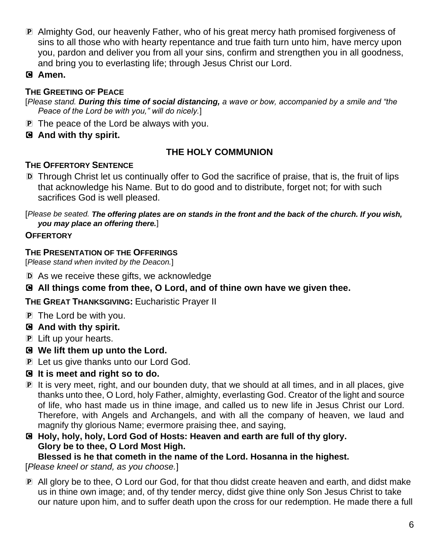P Almighty God, our heavenly Father, who of his great mercy hath promised forgiveness of sins to all those who with hearty repentance and true faith turn unto him, have mercy upon you, pardon and deliver you from all your sins, confirm and strengthen you in all goodness, and bring you to everlasting life; through Jesus Christ our Lord.

#### C **Amen.**

#### **THE GREETING OF PEACE**

[*Please stand. During this time of social distancing, a wave or bow, accompanied by a smile and "the Peace of the Lord be with you," will do nicely.*]

- P The peace of the Lord be always with you.
- C **And with thy spirit.**

# **THE HOLY COMMUNION**

### **THE OFFERTORY SENTENCE**

D Through Christ let us continually offer to God the sacrifice of praise, that is, the fruit of lips that acknowledge his Name. But to do good and to distribute, forget not; for with such sacrifices God is well pleased.

[*Please be seated. The offering plates are on stands in the front and the back of the church. If you wish, you may place an offering there.*]

### **OFFERTORY**

#### **THE PRESENTATION OF THE OFFERINGS**

[*Please stand when invited by the Deacon.*]

- D As we receive these gifts, we acknowledge
- C **All things come from thee, O Lord, and of thine own have we given thee.**

**THE GREAT THANKSGIVING:** Eucharistic Prayer II

- P The Lord be with you.
- C **And with thy spirit.**
- P Lift up your hearts.
- C **We lift them up unto the Lord.**
- **P** Let us give thanks unto our Lord God.
- C **It is meet and right so to do.**
- P It is very meet, right, and our bounden duty, that we should at all times, and in all places, give thanks unto thee, O Lord, holy Father, almighty, everlasting God. Creator of the light and source of life, who hast made us in thine image, and called us to new life in Jesus Christ our Lord. Therefore, with Angels and Archangels, and with all the company of heaven, we laud and magnify thy glorious Name; evermore praising thee, and saying,
- C **Holy, holy, holy, Lord God of Hosts: Heaven and earth are full of thy glory. Glory be to thee, O Lord Most High. Blessed is he that cometh in the name of the Lord. Hosanna in the highest.**

[*Please kneel or stand, as you choose.*]

P All glory be to thee, O Lord our God, for that thou didst create heaven and earth, and didst make us in thine own image; and, of thy tender mercy, didst give thine only Son Jesus Christ to take our nature upon him, and to suffer death upon the cross for our redemption. He made there a full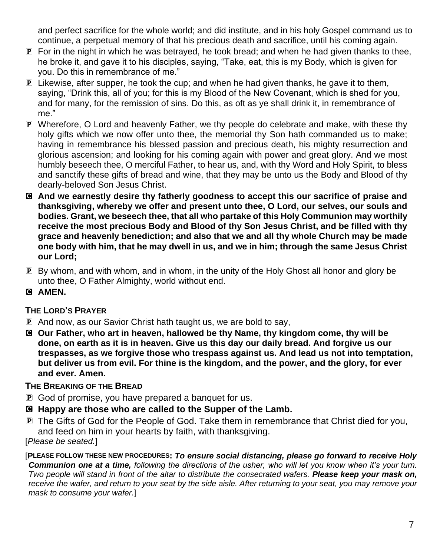and perfect sacrifice for the whole world; and did institute, and in his holy Gospel command us to continue, a perpetual memory of that his precious death and sacrifice, until his coming again.

- P For in the night in which he was betrayed, he took bread; and when he had given thanks to thee, he broke it, and gave it to his disciples, saying, "Take, eat, this is my Body, which is given for you. Do this in remembrance of me."
- P Likewise, after supper, he took the cup; and when he had given thanks, he gave it to them, saying, "Drink this, all of you; for this is my Blood of the New Covenant, which is shed for you, and for many, for the remission of sins. Do this, as oft as ye shall drink it, in remembrance of me."
- P Wherefore, O Lord and heavenly Father, we thy people do celebrate and make, with these thy holy gifts which we now offer unto thee, the memorial thy Son hath commanded us to make; having in remembrance his blessed passion and precious death, his mighty resurrection and glorious ascension; and looking for his coming again with power and great glory. And we most humbly beseech thee, O merciful Father, to hear us, and, with thy Word and Holy Spirit, to bless and sanctify these gifts of bread and wine, that they may be unto us the Body and Blood of thy dearly-beloved Son Jesus Christ.
- C **And we earnestly desire thy fatherly goodness to accept this our sacrifice of praise and thanksgiving, whereby we offer and present unto thee, O Lord, our selves, our souls and bodies. Grant, we beseech thee, that all who partake of this Holy Communion may worthily receive the most precious Body and Blood of thy Son Jesus Christ, and be filled with thy grace and heavenly benediction; and also that we and all thy whole Church may be made one body with him, that he may dwell in us, and we in him; through the same Jesus Christ our Lord;**
- P By whom, and with whom, and in whom, in the unity of the Holy Ghost all honor and glory be unto thee, O Father Almighty, world without end.
- C **AMEN.**

#### **THE LORD'S PRAYER**

- P And now, as our Savior Christ hath taught us, we are bold to say,
- C **Our Father, who art in heaven, hallowed be thy Name, thy kingdom come, thy will be done, on earth as it is in heaven. Give us this day our daily bread. And forgive us our trespasses, as we forgive those who trespass against us. And lead us not into temptation, but deliver us from evil. For thine is the kingdom, and the power, and the glory, for ever and ever. Amen.**

#### **THE BREAKING OF THE BREAD**

- P God of promise, you have prepared a banquet for us.
- C **Happy are those who are called to the Supper of the Lamb.**
- P The Gifts of God for the People of God. Take them in remembrance that Christ died for you, and feed on him in your hearts by faith, with thanksgiving. [*Please be seated.*]

[**PLEASE FOLLOW THESE NEW PROCEDURES:** *To ensure social distancing, please go forward to receive Holy Communion one at a time, following the directions of the usher, who will let you know when it's your turn. Two people will stand in front of the altar to distribute the consecrated wafers. Please keep your mask on, receive the wafer, and return to your seat by the side aisle. After returning to your seat, you may remove your mask to consume your wafer.*]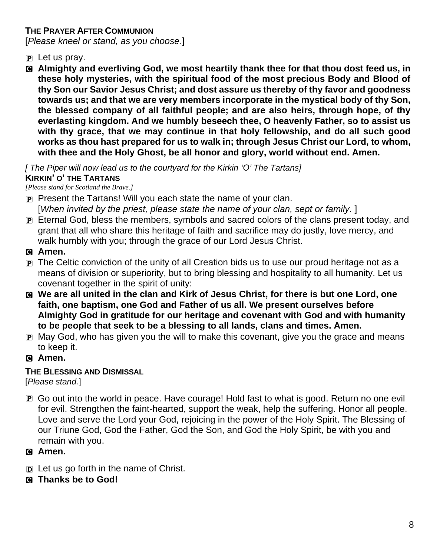#### **THE PRAYER AFTER COMMUNION**

[*Please kneel or stand, as you choose.*]

- P Let us pray.
- C **Almighty and everliving God, we most heartily thank thee for that thou dost feed us, in these holy mysteries, with the spiritual food of the most precious Body and Blood of thy Son our Savior Jesus Christ; and dost assure us thereby of thy favor and goodness towards us; and that we are very members incorporate in the mystical body of thy Son, the blessed company of all faithful people; and are also heirs, through hope, of thy everlasting kingdom. And we humbly beseech thee, O heavenly Father, so to assist us with thy grace, that we may continue in that holy fellowship, and do all such good works as thou hast prepared for us to walk in; through Jesus Christ our Lord, to whom, with thee and the Holy Ghost, be all honor and glory, world without end. Amen.**

*[ The Piper will now lead us to the courtyard for the Kirkin 'O' The Tartans]*

#### **KIRKIN' O' THE TARTANS**

*[Please stand for Scotland the Brave.]*

- P Present the Tartans! Will you each state the name of your clan. [When invited by the priest, please state the name of your clan, sept or family.]
- P Eternal God, bless the members, symbols and sacred colors of the clans present today, and grant that all who share this heritage of faith and sacrifice may do justly, love mercy, and walk humbly with you; through the grace of our Lord Jesus Christ.
- C **Amen.**
- P The Celtic conviction of the unity of all Creation bids us to use our proud heritage not as a means of division or superiority, but to bring blessing and hospitality to all humanity. Let us covenant together in the spirit of unity:
- C **We are all united in the clan and Kirk of Jesus Christ, for there is but one Lord, one faith, one baptism, one God and Father of us all. We present ourselves before Almighty God in gratitude for our heritage and covenant with God and with humanity to be people that seek to be a blessing to all lands, clans and times. Amen.**
- P May God, who has given you the will to make this covenant, give you the grace and means to keep it.
- C **Amen.**

#### **THE BLESSING AND DISMISSAL**

[*Please stand.*]

- P Go out into the world in peace. Have courage! Hold fast to what is good. Return no one evil for evil. Strengthen the faint-hearted, support the weak, help the suffering. Honor all people. Love and serve the Lord your God, rejoicing in the power of the Holy Spirit. The Blessing of our Triune God, God the Father, God the Son, and God the Holy Spirit, be with you and remain with you.
- C **Amen.**
- D Let us go forth in the name of Christ.
- C **Thanks be to God!**